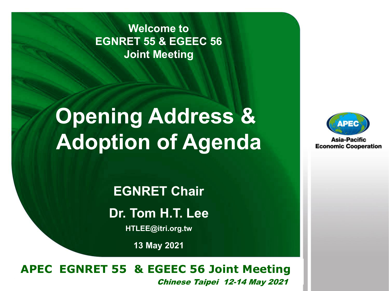**Welcome to EGNRET 55 & EGEEC 56 Joint Meeting**

# **Opening Address & Adoption of Agenda**

**EGNRET Chair Dr. Tom H.T. Lee**

**HTLEE@itri.org.tw**

**13 May 2021**

#### **EWG 40** *Brunei Darussalam* **22-26 November, 2010 APEC EGNRET 55 & EGEEC 56 Joint Meeting**  Chinese Taipei 12-14 May 2021



Asia-Pacific **Economic Cooperation**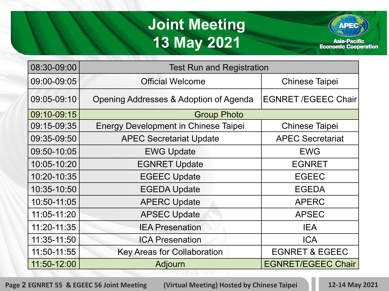#### **Joint Meeting 13 May 2021**



| 08:30-09:00 | <b>Test Run and Registration</b>            |                            |
|-------------|---------------------------------------------|----------------------------|
| 09:00-09:05 | <b>Official Welcome</b>                     | <b>Chinese Taipei</b>      |
| 09:05-09:10 | Opening Addresses & Adoption of Agenda      | <b>EGNRET /EGEEC Chair</b> |
| 09:10-09:15 | <b>Group Photo</b>                          |                            |
| 09:15-09:35 | <b>Energy Development in Chinese Taipei</b> | <b>Chinese Taipei</b>      |
| 09:35-09:50 | <b>APEC Secretariat Update</b>              | <b>APEC Secretariat</b>    |
| 09:50-10:05 | <b>EWG Update</b>                           | <b>EWG</b>                 |
| 10:05-10:20 | <b>EGNRET Update</b>                        | <b>EGNRET</b>              |
| 10:20-10:35 | <b>EGEEC Update</b>                         | <b>EGEEC</b>               |
| 10:35-10:50 | <b>EGEDA Update</b>                         | <b>EGEDA</b>               |
| 10:50-11:05 | <b>APERC Update</b>                         | <b>APERC</b>               |
| 11:05-11:20 | <b>APSEC Update</b>                         | <b>APSEC</b>               |
| 11:20-11:35 | <b>IEA Presenation</b>                      | <b>IEA</b>                 |
| 11:35-11:50 | <b>ICA Presenation</b>                      | <b>ICA</b>                 |
| 11:50-11:55 | <b>Key Areas for Collaboration</b>          | <b>EGNRET &amp; EGEEC</b>  |
| 11:50-12:00 | <b>Adjourn</b>                              | <b>EGNRET/EGEEC Chair</b>  |

**Page 2 EGNRET 55 & EGEEC 56 Joint Meeting (Virtual Meeting) Hosted by Chinese Taipei 12-14 May 2021**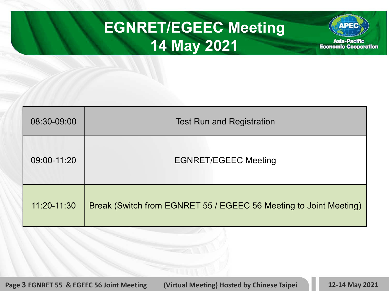### **EGNRET/EGEEC Meeting 14 May 2021**



| 08:30-09:00 | <b>Test Run and Registration</b>                                  |  |
|-------------|-------------------------------------------------------------------|--|
| 09:00-11:20 | <b>EGNRET/EGEEC Meeting</b>                                       |  |
| 11:20-11:30 | Break (Switch from EGNRET 55 / EGEEC 56 Meeting to Joint Meeting) |  |

**Page 3 EGNRET 55 & EGEEC 56 Joint Meeting (Virtual Meeting) Hosted by Chinese Taipei 12-14 May 2021**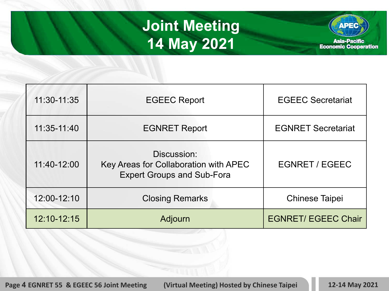### **Joint Meeting 14 May 2021**



| 11:30-11:35 | <b>EGEEC Report</b>                                                                       | <b>EGEEC Secretariat</b>   |
|-------------|-------------------------------------------------------------------------------------------|----------------------------|
| 11:35-11:40 | <b>EGNRET Report</b>                                                                      | <b>EGNRET Secretariat</b>  |
| 11:40-12:00 | Discussion:<br>Key Areas for Collaboration with APEC<br><b>Expert Groups and Sub-Fora</b> | <b>EGNRET / EGEEC</b>      |
| 12:00-12:10 | <b>Closing Remarks</b>                                                                    | <b>Chinese Taipei</b>      |
| 12:10-12:15 | Adjourn                                                                                   | <b>EGNRET/ EGEEC Chair</b> |

**Page 4 EGNRET 55 & EGEEC 56 Joint Meeting (Virtual Meeting) Hosted by Chinese Taipei 12-14 May 2021**